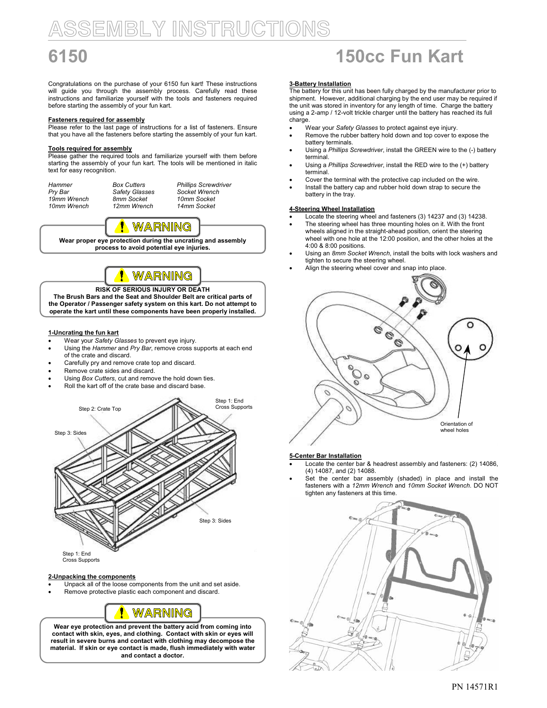## SSEMBLY INSTRUCTIONS

Congratulations on the purchase of your 6150 fun kart! These instructions will guide you through the assembly process. Carefully read these instructions and familiarize yourself with the tools and fasteners required before starting the assembly of your fun kart.

### Fasteners required for assembly

Please refer to the last page of instructions for a list of fasteners. Ensure that you have all the fasteners before starting the assembly of your fun kart.

### Tools required for assembly

Please gather the required tools and familiarize yourself with them before starting the assembly of your fun kart. The tools will be mentioned in italic text for easy recognition.

| Hammer      | <b>Box Cutters</b>    | P  |
|-------------|-----------------------|----|
| Pry Bar     | <b>Safety Glasses</b> | S  |
| 19mm Wrench | 8mm Socket            | 11 |
| 10mm Wrench | 12mm Wrench           | 1. |
|             |                       |    |

**Phillips Screwdriver** Procket Wrench 0mm Socket 4mm Socket



Wear proper eye protection during the uncrating and assembly process to avoid potential eye injuries.



### RISK OF SERIOUS INJURY OR DEATH

The Brush Bars and the Seat and Shoulder Belt are critical parts of the Operator / Passenger safety system on this kart. Do not attempt to operate the kart until these components have been properly installed.

### 1-Uncrating the fun kart

- Wear your Safety Glasses to prevent eye injury.
- Using the Hammer and Pry Bar, remove cross supports at each end of the crate and discard.
- Carefully pry and remove crate top and discard.
- Remove crate sides and discard.
- Using Box Cutters, cut and remove the hold down ties.
- Roll the kart off of the crate base and discard base.



#### 2-Unpacking the components

- Unpack all of the loose components from the unit and set aside.
- Remove protective plastic each component and discard.



Wear eye protection and prevent the battery acid from coming into contact with skin, eyes, and clothing. Contact with skin or eyes will result in severe burns and contact with clothing may decompose the material. If skin or eye contact is made, flush immediately with water and contact a doctor.

### 6150 150cc Fun Kart

#### 3-Battery Installation

The battery for this unit has been fully charged by the manufacturer prior to shipment. However, additional charging by the end user may be required if the unit was stored in inventory for any length of time. Charge the battery using a 2-amp / 12-volt trickle charger until the battery has reached its full charge.

- Wear your Safety Glasses to protect against eye injury.
- Remove the rubber battery hold down and top cover to expose the battery terminals.
- Using a Phillips Screwdriver, install the GREEN wire to the (-) battery terminal.
- Using a Phillips Screwdriver, install the RED wire to the (+) battery terminal.
- Cover the terminal with the protective cap included on the wire.
- Install the battery cap and rubber hold down strap to secure the battery in the tray.

### 4-Steering Wheel Installation

- Locate the steering wheel and fasteners (3) 14237 and (3) 14238.
- The steering wheel has three mounting holes on it. With the front wheels aligned in the straight-ahead position, orient the steering wheel with one hole at the 12:00 position, and the other holes at the 4:00 & 8:00 positions.
- Using an 8mm Socket Wrench, install the bolts with lock washers and tighten to secure the steering wheel.
- Align the steering wheel cover and snap into place.



### 5-Center Bar Installation

- Locate the center bar & headrest assembly and fasteners: (2) 14086, (4) 14087, and (2) 14088.
- Set the center bar assembly (shaded) in place and install the fasteners with a 12mm Wrench and 10mm Socket Wrench. DO NOT tighten any fasteners at this time.

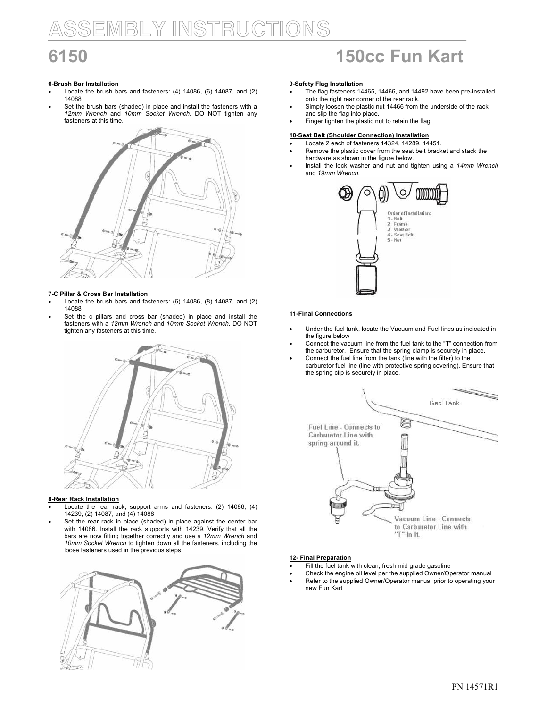# SSEMBLY INSTRUCTIONS

### 6150 150cc Fun Kart

### 6-Brush Bar Installation

- Locate the brush bars and fasteners:  $(4)$  14086,  $(6)$  14087, and  $(2)$ 14088
- Set the brush bars (shaded) in place and install the fasteners with a 12mm Wrench and 10mm Socket Wrench. DO NOT tighten any fasteners at this time.



### 7-C Pillar & Cross Bar Installation

- Locate the brush bars and fasteners: (6) 14086, (8) 14087, and (2) 14088
- Set the c pillars and cross bar (shaded) in place and install the fasteners with a 12mm Wrench and 10mm Socket Wrench. DO NOT tighten any fasteners at this time.



#### 8-Rear Rack Installation

- Locate the rear rack, support arms and fasteners: (2) 14086, (4) 14239, (2) 14087, and (4) 14088
- Set the rear rack in place (shaded) in place against the center bar with 14086. Install the rack supports with 14239. Verify that all the bars are now fitting together correctly and use a 12mm Wrench and 10mm Socket Wrench to tighten down all the fasteners, including the loose fasteners used in the previous steps.



### 9-Safety Flag Installation

- The flag fasteners 14465, 14466, and 14492 have been pre-installed onto the right rear corner of the rear rack.
- Simply loosen the plastic nut 14466 from the underside of the rack and slip the flag into place.
- Finger tighten the plastic nut to retain the flag.

### 10-Seat Belt (Shoulder Connection) Installation

- Locate 2 each of fasteners 14324, 14289, 14451.
- Remove the plastic cover from the seat belt bracket and stack the hardware as shown in the figure below.
- Install the lock washer and nut and tighten using a 14mm Wrench and 19mm Wrench.



### 11-Final Connections

- Under the fuel tank, locate the Vacuum and Fuel lines as indicated in the figure below
- Connect the vacuum line from the fuel tank to the "T" connection from the carburetor. Ensure that the spring clamp is securely in place.
- Connect the fuel line from the tank (line with the filter) to the carburetor fuel line (line with protective spring covering). Ensure that the spring clip is securely in place.



### 12- Final Preparation

- Fill the fuel tank with clean, fresh mid grade gasoline
- Check the engine oil level per the supplied Owner/Operator manual Refer to the supplied Owner/Operator manual prior to operating your new Fun Kart